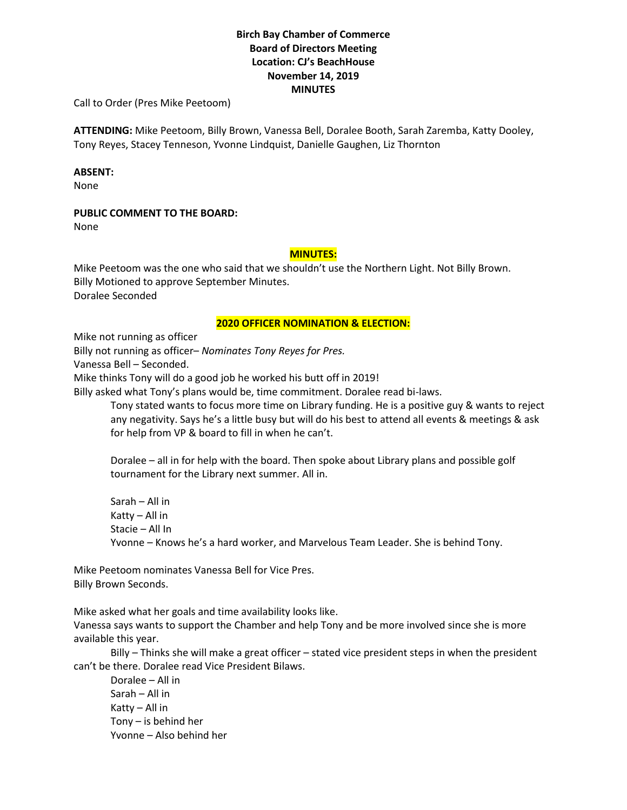# **Birch Bay Chamber of Commerce Board of Directors Meeting Location: CJ's BeachHouse November 14, 2019 MINUTES**

Call to Order (Pres Mike Peetoom)

**ATTENDING:** Mike Peetoom, Billy Brown, Vanessa Bell, Doralee Booth, Sarah Zaremba, Katty Dooley, Tony Reyes, Stacey Tenneson, Yvonne Lindquist, Danielle Gaughen, Liz Thornton

#### **ABSENT:**

None

### **PUBLIC COMMENT TO THE BOARD:**

None

## **MINUTES:**

Mike Peetoom was the one who said that we shouldn't use the Northern Light. Not Billy Brown. Billy Motioned to approve September Minutes. Doralee Seconded

#### **2020 OFFICER NOMINATION & ELECTION:**

Mike not running as officer

Billy not running as officer– *Nominates Tony Reyes for Pres.*

Vanessa Bell – Seconded.

Mike thinks Tony will do a good job he worked his butt off in 2019!

Billy asked what Tony's plans would be, time commitment. Doralee read bi-laws.

Tony stated wants to focus more time on Library funding. He is a positive guy & wants to reject any negativity. Says he's a little busy but will do his best to attend all events & meetings & ask for help from VP & board to fill in when he can't.

Doralee – all in for help with the board. Then spoke about Library plans and possible golf tournament for the Library next summer. All in.

Sarah – All in Katty – All in Stacie – All In Yvonne – Knows he's a hard worker, and Marvelous Team Leader. She is behind Tony.

Mike Peetoom nominates Vanessa Bell for Vice Pres. Billy Brown Seconds.

Mike asked what her goals and time availability looks like.

Vanessa says wants to support the Chamber and help Tony and be more involved since she is more available this year.

Billy – Thinks she will make a great officer – stated vice president steps in when the president can't be there. Doralee read Vice President Bilaws.

Doralee – All in Sarah – All in Katty – All in Tony – is behind her Yvonne – Also behind her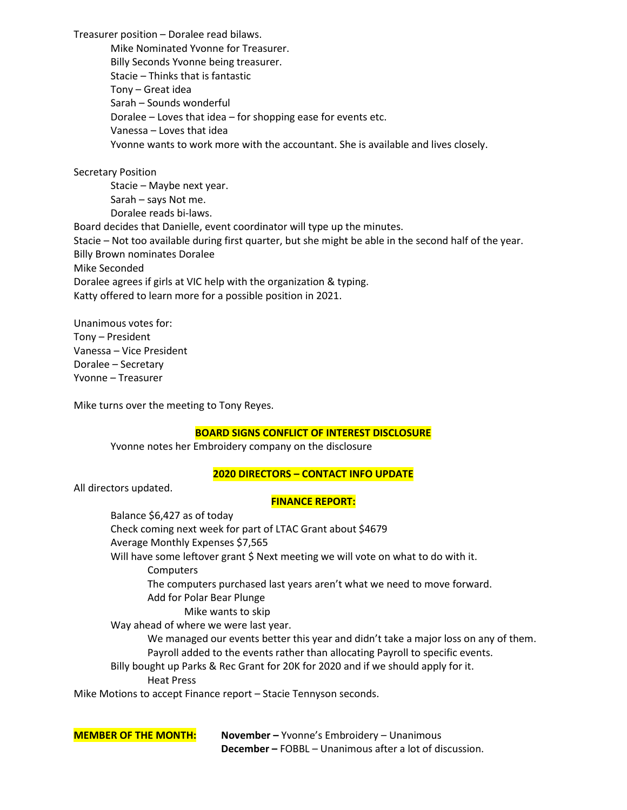Treasurer position – Doralee read bilaws.

Mike Nominated Yvonne for Treasurer. Billy Seconds Yvonne being treasurer. Stacie – Thinks that is fantastic Tony – Great idea Sarah – Sounds wonderful Doralee – Loves that idea – for shopping ease for events etc. Vanessa – Loves that idea Yvonne wants to work more with the accountant. She is available and lives closely.

Secretary Position Stacie – Maybe next year. Sarah – says Not me. Doralee reads bi-laws. Board decides that Danielle, event coordinator will type up the minutes. Stacie – Not too available during first quarter, but she might be able in the second half of the year. Billy Brown nominates Doralee Mike Seconded Doralee agrees if girls at VIC help with the organization & typing. Katty offered to learn more for a possible position in 2021.

Unanimous votes for: Tony – President Vanessa – Vice President Doralee – Secretary Yvonne – Treasurer

Mike turns over the meeting to Tony Reyes.

### **BOARD SIGNS CONFLICT OF INTEREST DISCLOSURE**

Yvonne notes her Embroidery company on the disclosure

### **2020 DIRECTORS – CONTACT INFO UPDATE**

All directors updated.

### **FINANCE REPORT:**

Balance \$6,427 as of today Check coming next week for part of LTAC Grant about \$4679 Average Monthly Expenses \$7,565 Will have some leftover grant \$ Next meeting we will vote on what to do with it. **Computers** The computers purchased last years aren't what we need to move forward. Add for Polar Bear Plunge Mike wants to skip Way ahead of where we were last year. We managed our events better this year and didn't take a major loss on any of them. Payroll added to the events rather than allocating Payroll to specific events. Billy bought up Parks & Rec Grant for 20K for 2020 and if we should apply for it. Heat Press

Mike Motions to accept Finance report – Stacie Tennyson seconds.

**MEMBER OF THE MONTH: November –** Yvonne's Embroidery – Unanimous **December –** FOBBL – Unanimous after a lot of discussion.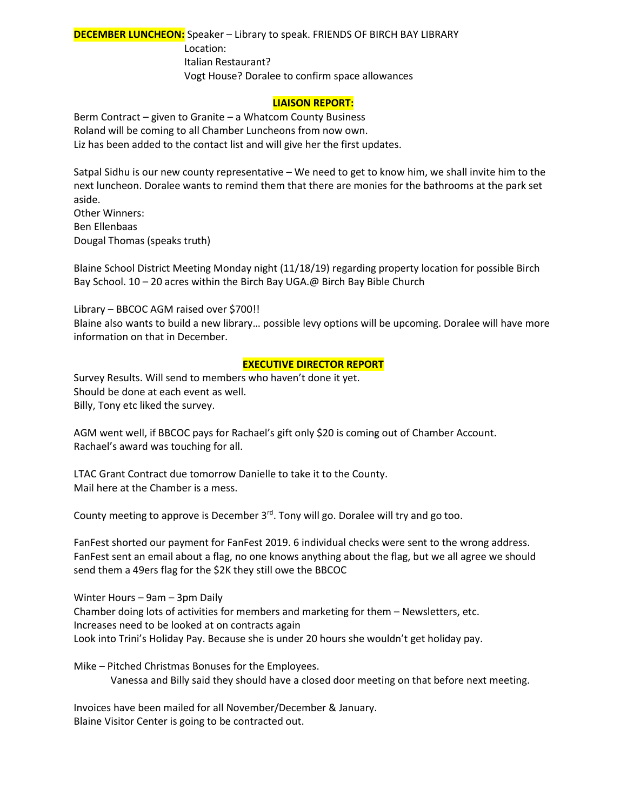# **DECEMBER LUNCHEON:** Speaker – Library to speak. FRIENDS OF BIRCH BAY LIBRARY Location: Italian Restaurant? Vogt House? Doralee to confirm space allowances

### **LIAISON REPORT:**

Berm Contract – given to Granite – a Whatcom County Business Roland will be coming to all Chamber Luncheons from now own. Liz has been added to the contact list and will give her the first updates.

Satpal Sidhu is our new county representative – We need to get to know him, we shall invite him to the next luncheon. Doralee wants to remind them that there are monies for the bathrooms at the park set aside. Other Winners:

Ben Ellenbaas Dougal Thomas (speaks truth)

Blaine School District Meeting Monday night (11/18/19) regarding property location for possible Birch Bay School. 10 – 20 acres within the Birch Bay UGA.@ Birch Bay Bible Church

Library – BBCOC AGM raised over \$700!!

Blaine also wants to build a new library… possible levy options will be upcoming. Doralee will have more information on that in December.

#### **EXECUTIVE DIRECTOR REPORT**

Survey Results. Will send to members who haven't done it yet. Should be done at each event as well. Billy, Tony etc liked the survey.

AGM went well, if BBCOC pays for Rachael's gift only \$20 is coming out of Chamber Account. Rachael's award was touching for all.

LTAC Grant Contract due tomorrow Danielle to take it to the County. Mail here at the Chamber is a mess.

County meeting to approve is December 3<sup>rd</sup>. Tony will go. Doralee will try and go too.

FanFest shorted our payment for FanFest 2019. 6 individual checks were sent to the wrong address. FanFest sent an email about a flag, no one knows anything about the flag, but we all agree we should send them a 49ers flag for the \$2K they still owe the BBCOC

Winter Hours – 9am – 3pm Daily Chamber doing lots of activities for members and marketing for them – Newsletters, etc. Increases need to be looked at on contracts again Look into Trini's Holiday Pay. Because she is under 20 hours she wouldn't get holiday pay.

Mike – Pitched Christmas Bonuses for the Employees. Vanessa and Billy said they should have a closed door meeting on that before next meeting.

Invoices have been mailed for all November/December & January. Blaine Visitor Center is going to be contracted out.